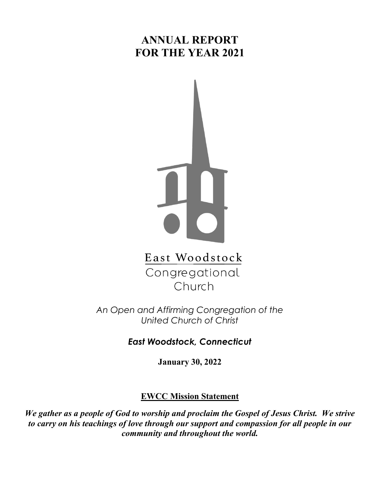# **ANNUAL REPORT FOR THE YEAR 2021**



East Woodstock Congregational Church

*An Open and Affirming Congregation of the United Church of Christ*

*East Woodstock, Connecticut*

**January 30, 2022**

### **EWCC Mission Statement**

*We gather as a people of God to worship and proclaim the Gospel of Jesus Christ. We strive to carry on his teachings of love through our support and compassion for all people in our community and throughout the world.*